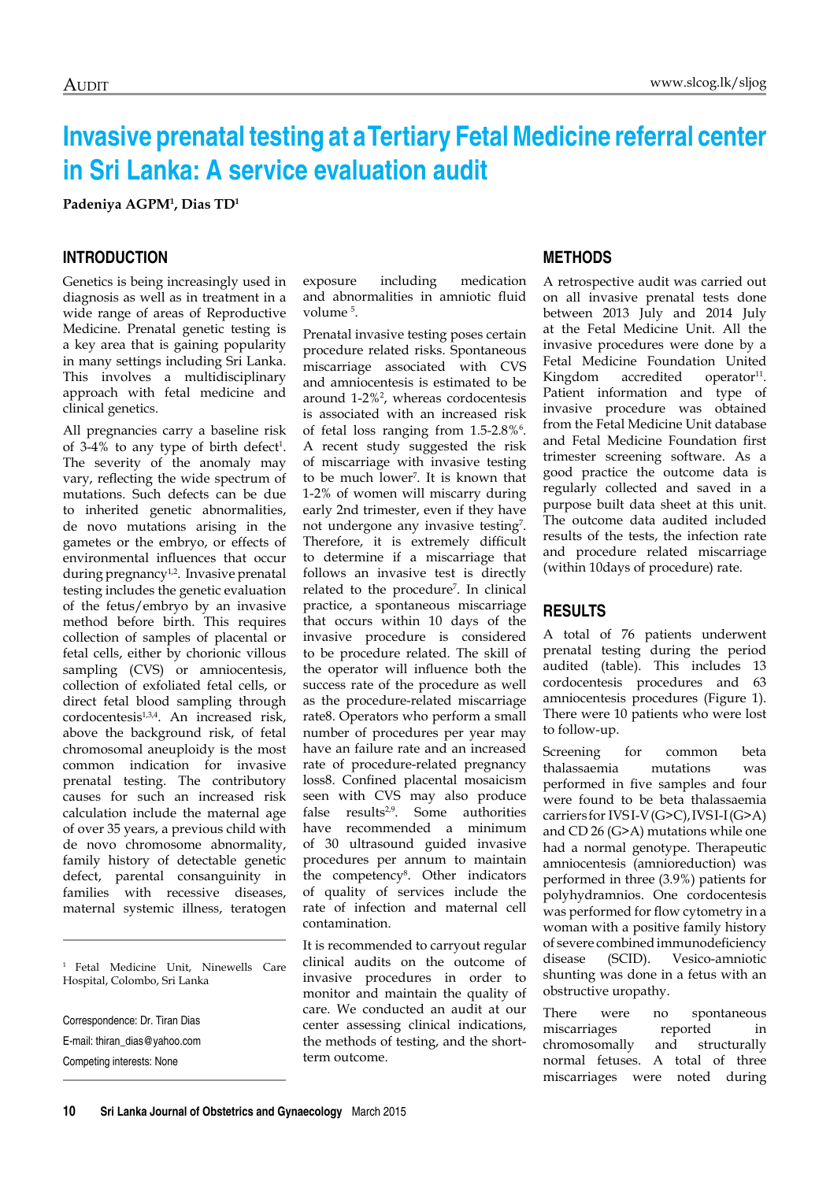# **Invasive prenatal testing at a Tertiary Fetal Medicine referral center in Sri Lanka: A service evaluation audit**

**Padeniya AGPM1 , Dias TD1**

### **Introduction**

Genetics is being increasingly used in diagnosis as well as in treatment in a wide range of areas of Reproductive Medicine. Prenatal genetic testing is a key area that is gaining popularity in many settings including Sri Lanka. This involves a multidisciplinary approach with fetal medicine and clinical genetics.

All pregnancies carry a baseline risk of  $3-4\%$  to any type of birth defect<sup>1</sup>. The severity of the anomaly may vary, reflecting the wide spectrum of mutations. Such defects can be due to inherited genetic abnormalities, de novo mutations arising in the gametes or the embryo, or effects of environmental influences that occur during pregnancy<sup>1,2</sup>. Invasive prenatal testing includes the genetic evaluation of the fetus/embryo by an invasive method before birth. This requires collection of samples of placental or fetal cells, either by chorionic villous sampling (CVS) or amniocentesis, collection of exfoliated fetal cells, or direct fetal blood sampling through cordocentesis<sup>1,3,4</sup>. An increased risk, above the background risk, of fetal chromosomal aneuploidy is the most common indication for invasive prenatal testing. The contributory causes for such an increased risk calculation include the maternal age of over 35 years, a previous child with de novo chromosome abnormality, family history of detectable genetic defect, parental consanguinity in families with recessive diseases, maternal systemic illness, teratogen

<sup>1</sup> Fetal Medicine Unit, Ninewells Care Hospital, Colombo, Sri Lanka

Correspondence: Dr. Tiran Dias E-mail: thiran\_dias@yahoo.com Competing interests: None

exposure including medication and abnormalities in amniotic fluid volume 5 .

Prenatal invasive testing poses certain procedure related risks. Spontaneous miscarriage associated with CVS and amniocentesis is estimated to be around 1-2%2 , whereas cordocentesis is associated with an increased risk of fetal loss ranging from 1.5-2.8%<sup>6</sup>. A recent study suggested the risk of miscarriage with invasive testing to be much lower<sup>7</sup>. It is known that 1-2% of women will miscarry during early 2nd trimester, even if they have not undergone any invasive testing<sup>7</sup>. Therefore, it is extremely difficult to determine if a miscarriage that follows an invasive test is directly related to the procedure7 . In clinical practice, a spontaneous miscarriage that occurs within 10 days of the invasive procedure is considered to be procedure related. The skill of the operator will influence both the success rate of the procedure as well as the procedure-related miscarriage rate8. Operators who perform a small number of procedures per year may have an failure rate and an increased rate of procedure-related pregnancy loss8. Confined placental mosaicism seen with CVS may also produce false results<sup>2,9</sup>. Some authorities have recommended a minimum of 30 ultrasound guided invasive procedures per annum to maintain the competency8 . Other indicators of quality of services include the rate of infection and maternal cell contamination.

It is recommended to carryout regular clinical audits on the outcome of invasive procedures in order to monitor and maintain the quality of care. We conducted an audit at our center assessing clinical indications, the methods of testing, and the shortterm outcome.

#### **Methods**

A retrospective audit was carried out on all invasive prenatal tests done between 2013 July and 2014 July at the Fetal Medicine Unit. All the invasive procedures were done by a Fetal Medicine Foundation United Kingdom accredited operator<sup>11</sup>. Patient information and type of invasive procedure was obtained from the Fetal Medicine Unit database and Fetal Medicine Foundation first trimester screening software. As a good practice the outcome data is regularly collected and saved in a purpose built data sheet at this unit. The outcome data audited included results of the tests, the infection rate and procedure related miscarriage (within 10days of procedure) rate.

#### **Results**

A total of 76 patients underwent prenatal testing during the period audited (table). This includes 13 cordocentesis procedures and 63 amniocentesis procedures (Figure 1). There were 10 patients who were lost to follow-up.

Screening for common beta thalassaemia mutations was performed in five samples and four were found to be beta thalassaemia carriers for IVS I-V (G>C), IVS I-I (G>A) and CD 26 (G>A) mutations while one had a normal genotype. Therapeutic amniocentesis (amnioreduction) was performed in three (3.9%) patients for polyhydramnios. One cordocentesis was performed for flow cytometry in a woman with a positive family history of severe combined immunodeficiency disease (SCID). Vesico-amniotic shunting was done in a fetus with an obstructive uropathy.

There were no spontaneous miscarriages reported in chromosomally and structurally normal fetuses. A total of three miscarriages were noted during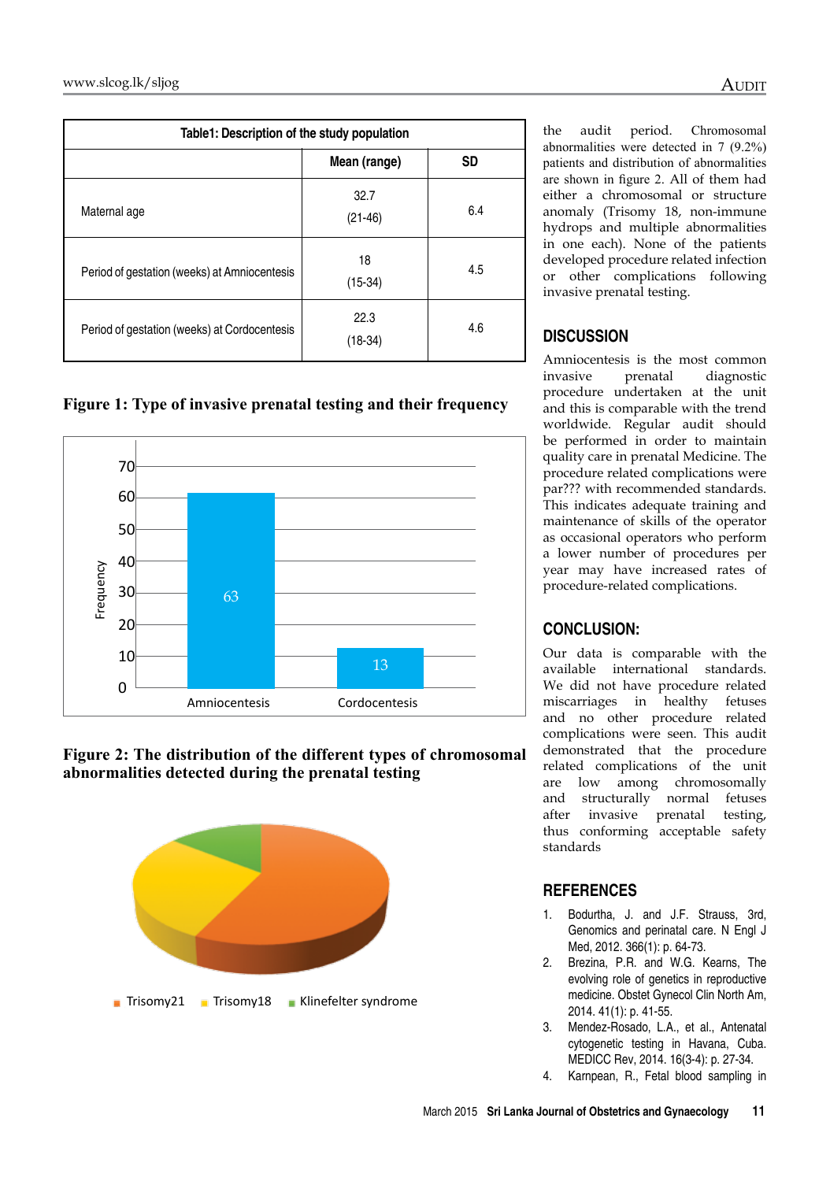| Table1: Description of the study population  |                   |           |
|----------------------------------------------|-------------------|-----------|
|                                              | Mean (range)      | <b>SD</b> |
| Maternal age                                 | 32.7<br>$(21-46)$ | 6.4       |
| Period of gestation (weeks) at Amniocentesis | 18<br>$(15-34)$   | 4.5       |
| Period of gestation (weeks) at Cordocentesis | 22.3<br>(18-34)   | 4.6       |

the audit period. Chromosomal abnormalities were detected in 7 (9.2%) patients and distribution of abnormalities are shown in figure 2. All of them had either a chromosomal or structure anomaly (Trisomy 18, non-immune hydrops and multiple abnormalities in one each). None of the patients developed procedure related infection or other complications following invasive prenatal testing.

## **Discussion**

Amniocentesis is the most common invasive prenatal diagnostic procedure undertaken at the unit and this is comparable with the trend worldwide. Regular audit should be performed in order to maintain quality care in prenatal Medicine. The procedure related complications were par??? with recommended standards. This indicates adequate training and maintenance of skills of the operator as occasional operators who perform a lower number of procedures per year may have increased rates of procedure-related complications.

## **Conclusion:**

Our data is comparable with the available international standards. We did not have procedure related miscarriages in healthy fetuses and no other procedure related complications were seen. This audit demonstrated that the procedure related complications of the unit are low among chromosomally and structurally normal fetuses after invasive prenatal testing, thus conforming acceptable safety standards

## **References**

- 1. Bodurtha, J. and J.F. Strauss, 3rd, Genomics and perinatal care. N Engl J Med, 2012. 366(1): p. 64-73.
- 2. Brezina, P.R. and W.G. Kearns, The evolving role of genetics in reproductive medicine. Obstet Gynecol Clin North Am, 2014. 41(1): p. 41-55.
- 3. Mendez-Rosado, L.A., et al., Antenatal cytogenetic testing in Havana, Cuba. MEDICC Rev, 2014. 16(3-4): p. 27-34.
- 4. Karnpean, R., Fetal blood sampling in

**Figure 1: Type of invasive prenatal testing and their frequency**



**Figure 2: The distribution of the different types of chromosomal abnormalities detected during the prenatal testing**